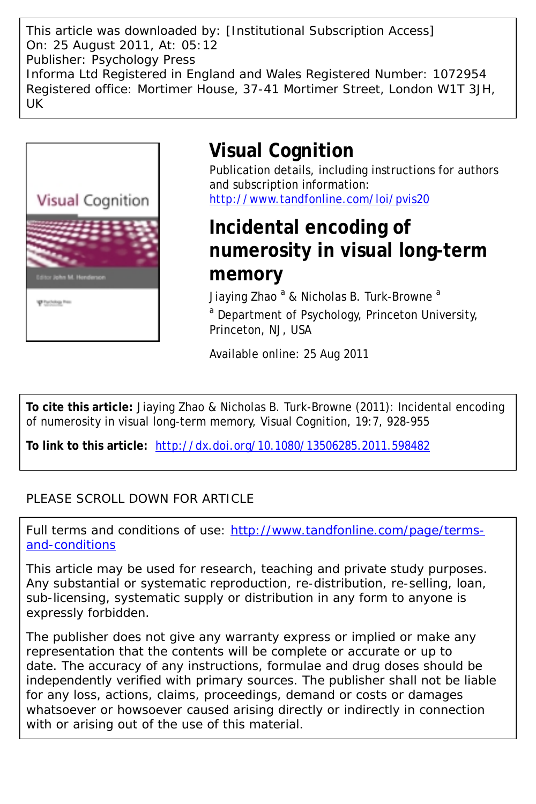This article was downloaded by: [Institutional Subscription Access] On: 25 August 2011, At: 05:12 Publisher: Psychology Press Informa Ltd Registered in England and Wales Registered Number: 1072954 Registered office: Mortimer House, 37-41 Mortimer Street, London W1T 3JH, UK



# **Visual Cognition**

Publication details, including instructions for authors and subscription information: <http://www.tandfonline.com/loi/pvis20>

# **Incidental encoding of numerosity in visual long-term memory**

Jiaying Zhao <sup>a</sup> & Nicholas B. Turk-Browne <sup>a</sup> <sup>a</sup> Department of Psychology, Princeton University, Princeton, NJ, USA

Available online: 25 Aug 2011

**To cite this article:** Jiaying Zhao & Nicholas B. Turk-Browne (2011): Incidental encoding of numerosity in visual long-term memory, Visual Cognition, 19:7, 928-955

**To link to this article:** <http://dx.doi.org/10.1080/13506285.2011.598482>

# PLEASE SCROLL DOWN FOR ARTICLE

Full terms and conditions of use: [http://www.tandfonline.com/page/terms](http://www.tandfonline.com/page/terms-and-conditions)[and-conditions](http://www.tandfonline.com/page/terms-and-conditions)

This article may be used for research, teaching and private study purposes. Any substantial or systematic reproduction, re-distribution, re-selling, loan, sub-licensing, systematic supply or distribution in any form to anyone is expressly forbidden.

The publisher does not give any warranty express or implied or make any representation that the contents will be complete or accurate or up to date. The accuracy of any instructions, formulae and drug doses should be independently verified with primary sources. The publisher shall not be liable for any loss, actions, claims, proceedings, demand or costs or damages whatsoever or howsoever caused arising directly or indirectly in connection with or arising out of the use of this material.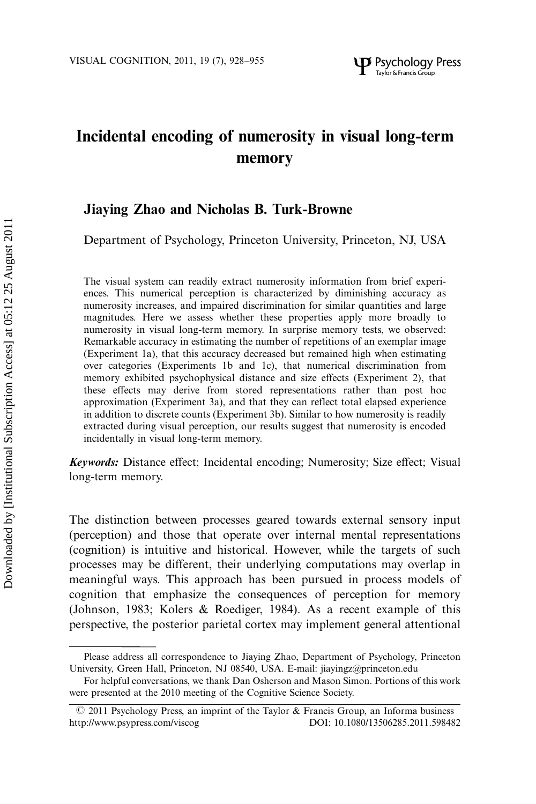# Incidental encoding of numerosity in visual long-term memory

# Jiaying Zhao and Nicholas B. Turk-Browne

Department of Psychology, Princeton University, Princeton, NJ, USA

The visual system can readily extract numerosity information from brief experiences. This numerical perception is characterized by diminishing accuracy as numerosity increases, and impaired discrimination for similar quantities and large magnitudes. Here we assess whether these properties apply more broadly to numerosity in visual long-term memory. In surprise memory tests, we observed: Remarkable accuracy in estimating the number of repetitions of an exemplar image (Experiment 1a), that this accuracy decreased but remained high when estimating over categories (Experiments 1b and 1c), that numerical discrimination from memory exhibited psychophysical distance and size effects (Experiment 2), that these effects may derive from stored representations rather than post hoc approximation (Experiment 3a), and that they can reflect total elapsed experience in addition to discrete counts (Experiment 3b). Similar to how numerosity is readily extracted during visual perception, our results suggest that numerosity is encoded incidentally in visual long-term memory.

Keywords: Distance effect; Incidental encoding; Numerosity; Size effect; Visual long-term memory.

The distinction between processes geared towards external sensory input (perception) and those that operate over internal mental representations (cognition) is intuitive and historical. However, while the targets of such processes may be different, their underlying computations may overlap in meaningful ways. This approach has been pursued in process models of cognition that emphasize the consequences of perception for memory (Johnson, 1983; Kolers & Roediger, 1984). As a recent example of this perspective, the posterior parietal cortex may implement general attentional

Please address all correspondence to Jiaying Zhao, Department of Psychology, Princeton University, Green Hall, Princeton, NJ 08540, USA. E-mail: jiayingz@princeton.edu

For helpful conversations, we thank Dan Osherson and Mason Simon. Portions of this work were presented at the 2010 meeting of the Cognitive Science Society.

 $\odot$  2011 Psychology Press, an imprint of the Taylor & Francis Group, an Informa business [http://www.psypress.com/viscog](http://www.psypress.com/cogemotion) DOI: 10.1080/13506285.2011.598482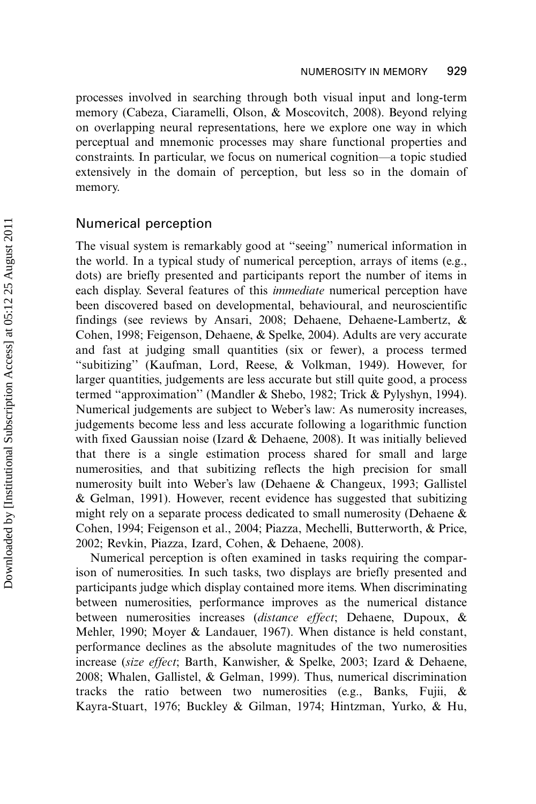processes involved in searching through both visual input and long-term memory (Cabeza, Ciaramelli, Olson, & Moscovitch, 2008). Beyond relying on overlapping neural representations, here we explore one way in which perceptual and mnemonic processes may share functional properties and constraints. In particular, we focus on numerical cognition—a topic studied extensively in the domain of perception, but less so in the domain of memory.

# Numerical perception

The visual system is remarkably good at ''seeing'' numerical information in the world. In a typical study of numerical perception, arrays of items (e.g., dots) are briefly presented and participants report the number of items in each display. Several features of this immediate numerical perception have been discovered based on developmental, behavioural, and neuroscientific findings (see reviews by Ansari, 2008; Dehaene, Dehaene-Lambertz, & Cohen, 1998; Feigenson, Dehaene, & Spelke, 2004). Adults are very accurate and fast at judging small quantities (six or fewer), a process termed "subitizing" (Kaufman, Lord, Reese, & Volkman, 1949). However, for larger quantities, judgements are less accurate but still quite good, a process termed ''approximation'' (Mandler & Shebo, 1982; Trick & Pylyshyn, 1994). Numerical judgements are subject to Weber's law: As numerosity increases, judgements become less and less accurate following a logarithmic function with fixed Gaussian noise (Izard & Dehaene, 2008). It was initially believed that there is a single estimation process shared for small and large numerosities, and that subitizing reflects the high precision for small numerosity built into Weber's law (Dehaene & Changeux, 1993; Gallistel & Gelman, 1991). However, recent evidence has suggested that subitizing might rely on a separate process dedicated to small numerosity (Dehaene & Cohen, 1994; Feigenson et al., 2004; Piazza, Mechelli, Butterworth, & Price, 2002; Revkin, Piazza, Izard, Cohen, & Dehaene, 2008).

Numerical perception is often examined in tasks requiring the comparison of numerosities. In such tasks, two displays are briefly presented and participants judge which display contained more items. When discriminating between numerosities, performance improves as the numerical distance between numerosities increases *(distance effect*; Dehaene, Dupoux, & Mehler, 1990; Moyer & Landauer, 1967). When distance is held constant, performance declines as the absolute magnitudes of the two numerosities increase (size effect; Barth, Kanwisher, & Spelke, 2003; Izard & Dehaene, 2008; Whalen, Gallistel, & Gelman, 1999). Thus, numerical discrimination tracks the ratio between two numerosities (e.g., Banks, Fujii, & Kayra-Stuart, 1976; Buckley & Gilman, 1974; Hintzman, Yurko, & Hu,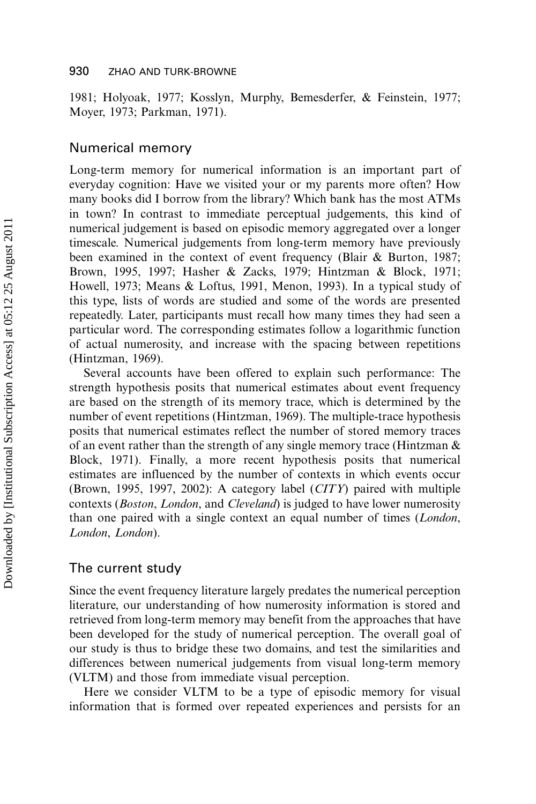1981; Holyoak, 1977; Kosslyn, Murphy, Bemesderfer, & Feinstein, 1977; Moyer, 1973; Parkman, 1971).

#### Numerical memory

Long-term memory for numerical information is an important part of everyday cognition: Have we visited your or my parents more often? How many books did I borrow from the library? Which bank has the most ATMs in town? In contrast to immediate perceptual judgements, this kind of numerical judgement is based on episodic memory aggregated over a longer timescale. Numerical judgements from long-term memory have previously been examined in the context of event frequency (Blair & Burton, 1987; Brown, 1995, 1997; Hasher & Zacks, 1979; Hintzman & Block, 1971; Howell, 1973; Means & Loftus, 1991, Menon, 1993). In a typical study of this type, lists of words are studied and some of the words are presented repeatedly. Later, participants must recall how many times they had seen a particular word. The corresponding estimates follow a logarithmic function of actual numerosity, and increase with the spacing between repetitions (Hintzman, 1969).

Several accounts have been offered to explain such performance: The strength hypothesis posits that numerical estimates about event frequency are based on the strength of its memory trace, which is determined by the number of event repetitions (Hintzman, 1969). The multiple-trace hypothesis posits that numerical estimates reflect the number of stored memory traces of an event rather than the strength of any single memory trace (Hintzman  $\&$ Block, 1971). Finally, a more recent hypothesis posits that numerical estimates are influenced by the number of contexts in which events occur (Brown, 1995, 1997, 2002): A category label (CITY) paired with multiple contexts (Boston, London, and Cleveland) is judged to have lower numerosity than one paired with a single context an equal number of times (London, London, London).

#### The current study

Since the event frequency literature largely predates the numerical perception literature, our understanding of how numerosity information is stored and retrieved from long-term memory may benefit from the approaches that have been developed for the study of numerical perception. The overall goal of our study is thus to bridge these two domains, and test the similarities and differences between numerical judgements from visual long-term memory (VLTM) and those from immediate visual perception.

Here we consider VLTM to be a type of episodic memory for visual information that is formed over repeated experiences and persists for an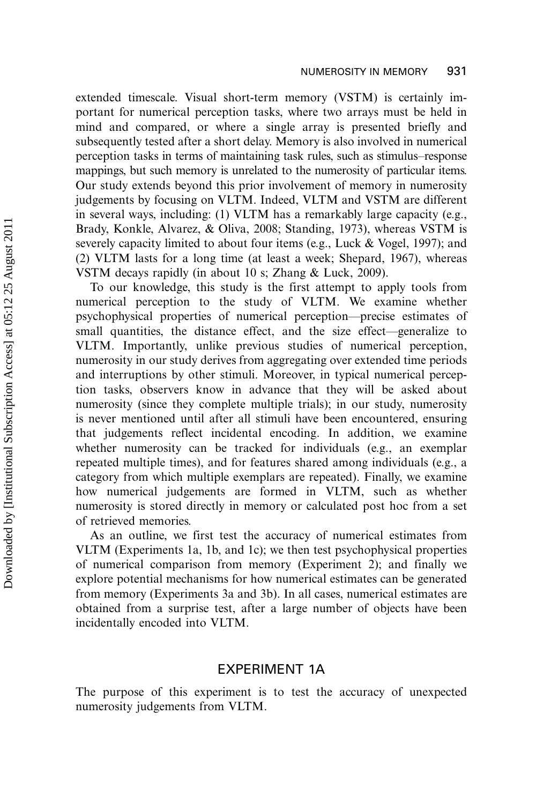extended timescale. Visual short-term memory (VSTM) is certainly important for numerical perception tasks, where two arrays must be held in mind and compared, or where a single array is presented briefly and subsequently tested after a short delay. Memory is also involved in numerical perception tasks in terms of maintaining task rules, such as stimulus–response mappings, but such memory is unrelated to the numerosity of particular items. Our study extends beyond this prior involvement of memory in numerosity judgements by focusing on VLTM. Indeed, VLTM and VSTM are different in several ways, including: (1) VLTM has a remarkably large capacity (e.g., Brady, Konkle, Alvarez, & Oliva, 2008; Standing, 1973), whereas VSTM is severely capacity limited to about four items (e.g., Luck & Vogel, 1997); and (2) VLTM lasts for a long time (at least a week; Shepard, 1967), whereas VSTM decays rapidly (in about 10 s; Zhang & Luck, 2009).

To our knowledge, this study is the first attempt to apply tools from numerical perception to the study of VLTM. We examine whether psychophysical properties of numerical perception\*precise estimates of small quantities, the distance effect, and the size effect—generalize to VLTM. Importantly, unlike previous studies of numerical perception, numerosity in our study derives from aggregating over extended time periods and interruptions by other stimuli. Moreover, in typical numerical perception tasks, observers know in advance that they will be asked about numerosity (since they complete multiple trials); in our study, numerosity is never mentioned until after all stimuli have been encountered, ensuring that judgements reflect incidental encoding. In addition, we examine whether numerosity can be tracked for individuals (e.g., an exemplar repeated multiple times), and for features shared among individuals (e.g., a category from which multiple exemplars are repeated). Finally, we examine how numerical judgements are formed in VLTM, such as whether numerosity is stored directly in memory or calculated post hoc from a set of retrieved memories.

As an outline, we first test the accuracy of numerical estimates from VLTM (Experiments 1a, 1b, and 1c); we then test psychophysical properties of numerical comparison from memory (Experiment 2); and finally we explore potential mechanisms for how numerical estimates can be generated from memory (Experiments 3a and 3b). In all cases, numerical estimates are obtained from a surprise test, after a large number of objects have been incidentally encoded into VLTM.

# EXPERIMENT 1A

The purpose of this experiment is to test the accuracy of unexpected numerosity judgements from VLTM.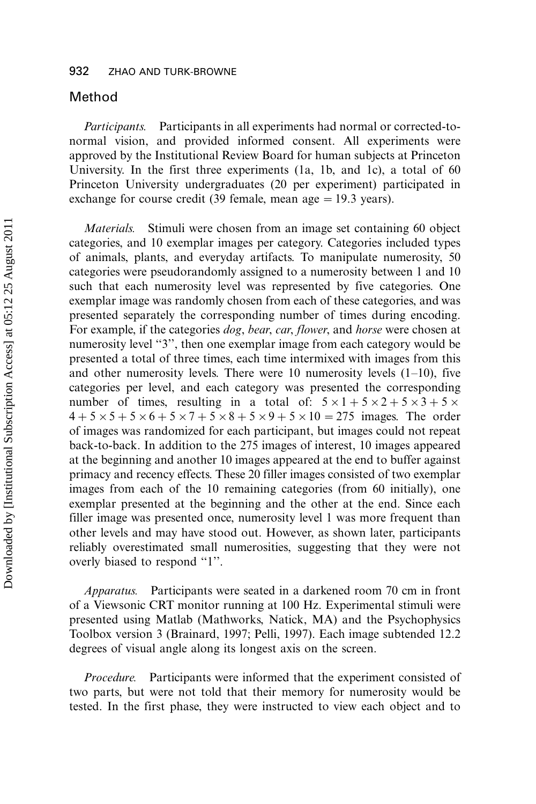# Method

Participants. Participants in all experiments had normal or corrected-tonormal vision, and provided informed consent. All experiments were approved by the Institutional Review Board for human subjects at Princeton University. In the first three experiments (1a, 1b, and 1c), a total of 60 Princeton University undergraduates (20 per experiment) participated in exchange for course credit (39 female, mean age  $= 19.3$  years).

Materials. Stimuli were chosen from an image set containing 60 object categories, and 10 exemplar images per category. Categories included types of animals, plants, and everyday artifacts. To manipulate numerosity, 50 categories were pseudorandomly assigned to a numerosity between 1 and 10 such that each numerosity level was represented by five categories. One exemplar image was randomly chosen from each of these categories, and was presented separately the corresponding number of times during encoding. For example, if the categories *dog, bear, car, flower*, and *horse* were chosen at numerosity level ''3'', then one exemplar image from each category would be presented a total of three times, each time intermixed with images from this and other numerosity levels. There were 10 numerosity levels  $(1-10)$ , five categories per level, and each category was presented the corresponding number of times, resulting in a total of:  $5 \times 1 + 5 \times 2 + 5 \times 3 + 5 \times$  $4+5\times5+5\times6+5\times7+5\times8+5\times9+5\times10=275$  images. The order of images was randomized for each participant, but images could not repeat back-to-back. In addition to the 275 images of interest, 10 images appeared at the beginning and another 10 images appeared at the end to buffer against primacy and recency effects. These 20 filler images consisted of two exemplar images from each of the 10 remaining categories (from 60 initially), one exemplar presented at the beginning and the other at the end. Since each filler image was presented once, numerosity level 1 was more frequent than other levels and may have stood out. However, as shown later, participants reliably overestimated small numerosities, suggesting that they were not overly biased to respond ''1''.

Apparatus. Participants were seated in a darkened room 70 cm in front of a Viewsonic CRT monitor running at 100 Hz. Experimental stimuli were presented using Matlab (Mathworks, Natick, MA) and the Psychophysics Toolbox version 3 (Brainard, 1997; Pelli, 1997). Each image subtended 12.2 degrees of visual angle along its longest axis on the screen.

Procedure. Participants were informed that the experiment consisted of two parts, but were not told that their memory for numerosity would be tested. In the first phase, they were instructed to view each object and to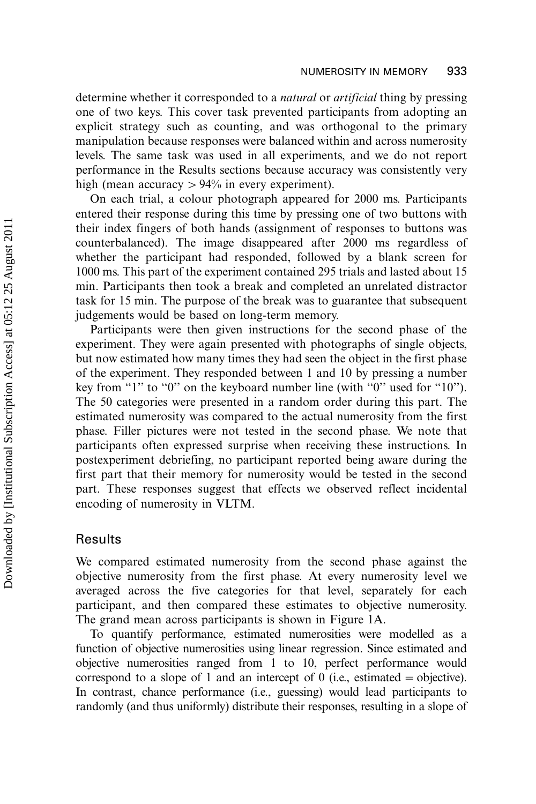determine whether it corresponded to a *natural* or *artificial* thing by pressing one of two keys. This cover task prevented participants from adopting an explicit strategy such as counting, and was orthogonal to the primary manipulation because responses were balanced within and across numerosity levels. The same task was used in all experiments, and we do not report performance in the Results sections because accuracy was consistently very high (mean accuracy  $> 94\%$  in every experiment).

On each trial, a colour photograph appeared for 2000 ms. Participants entered their response during this time by pressing one of two buttons with their index fingers of both hands (assignment of responses to buttons was counterbalanced). The image disappeared after 2000 ms regardless of whether the participant had responded, followed by a blank screen for 1000 ms. This part of the experiment contained 295 trials and lasted about 15 min. Participants then took a break and completed an unrelated distractor task for 15 min. The purpose of the break was to guarantee that subsequent judgements would be based on long-term memory.

Participants were then given instructions for the second phase of the experiment. They were again presented with photographs of single objects, but now estimated how many times they had seen the object in the first phase of the experiment. They responded between 1 and 10 by pressing a number key from "1" to "0" on the keyboard number line (with "0" used for "10"). The 50 categories were presented in a random order during this part. The estimated numerosity was compared to the actual numerosity from the first phase. Filler pictures were not tested in the second phase. We note that participants often expressed surprise when receiving these instructions. In postexperiment debriefing, no participant reported being aware during the first part that their memory for numerosity would be tested in the second part. These responses suggest that effects we observed reflect incidental encoding of numerosity in VLTM.

# Results

We compared estimated numerosity from the second phase against the objective numerosity from the first phase. At every numerosity level we averaged across the five categories for that level, separately for each participant, and then compared these estimates to objective numerosity. The grand mean across participants is shown in Figure 1A.

To quantify performance, estimated numerosities were modelled as a function of objective numerosities using linear regression. Since estimated and objective numerosities ranged from 1 to 10, perfect performance would correspond to a slope of 1 and an intercept of 0 (i.e., estimated  $=$  objective). In contrast, chance performance (i.e., guessing) would lead participants to randomly (and thus uniformly) distribute their responses, resulting in a slope of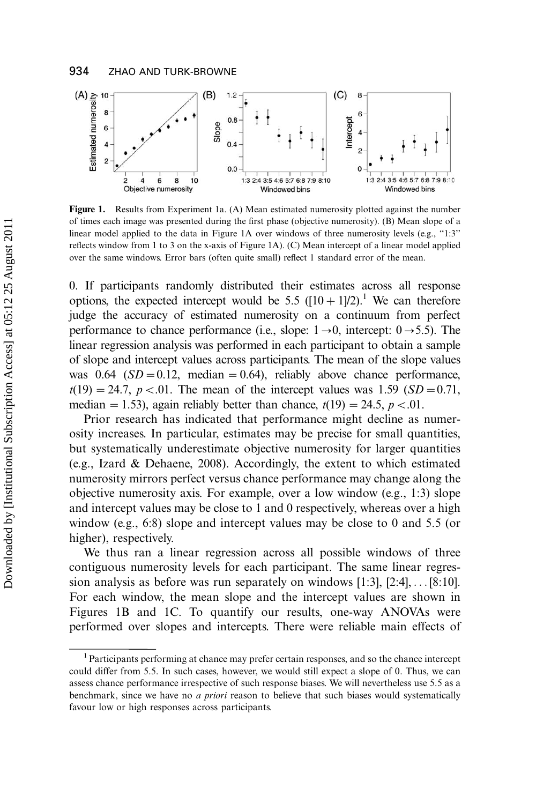

Figure 1. Results from Experiment 1a. (A) Mean estimated numerosity plotted against the number of times each image was presented during the first phase (objective numerosity). (B) Mean slope of a linear model applied to the data in Figure 1A over windows of three numerosity levels (e.g., "1:3" reflects window from 1 to 3 on the x-axis of Figure 1A). (C) Mean intercept of a linear model applied over the same windows. Error bars (often quite small) reflect 1 standard error of the mean.

0. If participants randomly distributed their estimates across all response options, the expected intercept would be 5.5 ( $[10 + 1]/2$ ).<sup>1</sup> We can therefore judge the accuracy of estimated numerosity on a continuum from perfect performance to chance performance (i.e., slope:  $1\rightarrow 0$ , intercept:  $0\rightarrow 5.5$ ). The linear regression analysis was performed in each participant to obtain a sample of slope and intercept values across participants. The mean of the slope values was 0.64 ( $SD = 0.12$ , median = 0.64), reliably above chance performance,  $t(19) = 24.7, p < 0.01$ . The mean of the intercept values was 1.59 (SD = 0.71, median = 1.53), again reliably better than chance,  $t(19) = 24.5$ ,  $p < 0.01$ .

Prior research has indicated that performance might decline as numerosity increases. In particular, estimates may be precise for small quantities, but systematically underestimate objective numerosity for larger quantities (e.g., Izard & Dehaene, 2008). Accordingly, the extent to which estimated numerosity mirrors perfect versus chance performance may change along the objective numerosity axis. For example, over a low window (e.g., 1:3) slope and intercept values may be close to 1 and 0 respectively, whereas over a high window (e.g., 6:8) slope and intercept values may be close to 0 and 5.5 (or higher), respectively.

We thus ran a linear regression across all possible windows of three contiguous numerosity levels for each participant. The same linear regression analysis as before was run separately on windows [1:3], [2:4], ... [8:10]. For each window, the mean slope and the intercept values are shown in Figures 1B and 1C. To quantify our results, one-way ANOVAs were performed over slopes and intercepts. There were reliable main effects of

<sup>&</sup>lt;sup>1</sup> Participants performing at chance may prefer certain responses, and so the chance intercept could differ from 5.5. In such cases, however, we would still expect a slope of 0. Thus, we can assess chance performance irrespective of such response biases. We will nevertheless use 5.5 as a benchmark, since we have no *a priori* reason to believe that such biases would systematically favour low or high responses across participants.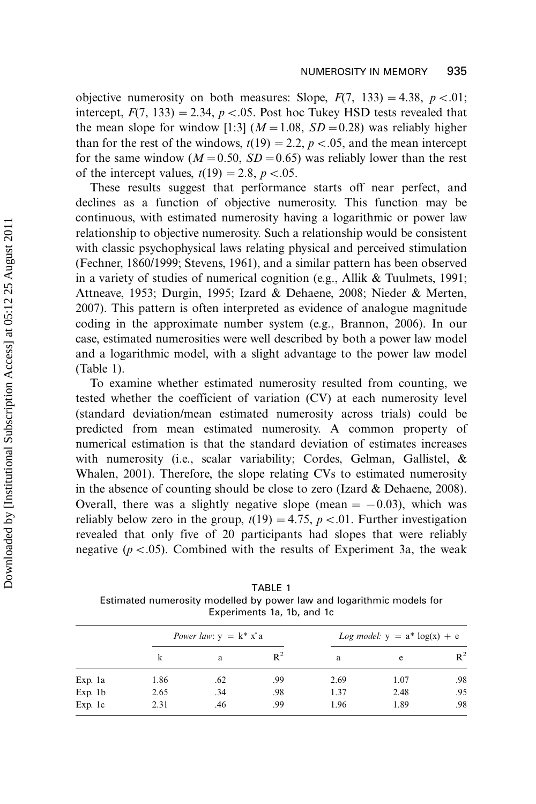objective numerosity on both measures: Slope,  $F(7, 133) = 4.38$ ,  $p < .01$ ; intercept,  $F(7, 133) = 2.34$ ,  $p < .05$ . Post hoc Tukey HSD tests revealed that the mean slope for window [1:3]  $(M=1.08, SD=0.28)$  was reliably higher than for the rest of the windows,  $t(19) = 2.2$ ,  $p < .05$ , and the mean intercept for the same window ( $M=0.50$ ,  $SD=0.65$ ) was reliably lower than the rest of the intercept values,  $t(19) = 2.8$ ,  $p < 0.05$ .

These results suggest that performance starts off near perfect, and declines as a function of objective numerosity. This function may be continuous, with estimated numerosity having a logarithmic or power law relationship to objective numerosity. Such a relationship would be consistent with classic psychophysical laws relating physical and perceived stimulation (Fechner, 1860/1999; Stevens, 1961), and a similar pattern has been observed in a variety of studies of numerical cognition (e.g., Allik & Tuulmets, 1991; Attneave, 1953; Durgin, 1995; Izard & Dehaene, 2008; Nieder & Merten, 2007). This pattern is often interpreted as evidence of analogue magnitude coding in the approximate number system (e.g., Brannon, 2006). In our case, estimated numerosities were well described by both a power law model and a logarithmic model, with a slight advantage to the power law model (Table 1).

To examine whether estimated numerosity resulted from counting, we tested whether the coefficient of variation (CV) at each numerosity level (standard deviation/mean estimated numerosity across trials) could be predicted from mean estimated numerosity. A common property of numerical estimation is that the standard deviation of estimates increases with numerosity (i.e., scalar variability; Cordes, Gelman, Gallistel, & Whalen, 2001). Therefore, the slope relating CVs to estimated numerosity in the absence of counting should be close to zero (Izard & Dehaene, 2008). Overall, there was a slightly negative slope (mean  $= -0.03$ ), which was reliably below zero in the group,  $t(19) = 4.75$ ,  $p < 01$ . Further investigation revealed that only five of 20 participants had slopes that were reliably negative ( $p < .05$ ). Combined with the results of Experiment 3a, the weak

TABLE 1 Estimated numerosity modelled by power law and logarithmic models for Experiments 1a, 1b, and 1c

|           | Power law: $y = k^*$ x <sup>2</sup> a |     |       | <i>Log model:</i> $y = a^* log(x) + e$ |      |       |
|-----------|---------------------------------------|-----|-------|----------------------------------------|------|-------|
|           | k                                     | a   | $R^2$ | a                                      | e    | $R^2$ |
| Exp. 1a   | 1.86                                  | .62 | .99   | 2.69                                   | 1.07 | .98   |
| Exp. $1b$ | 2.65                                  | .34 | .98   | 1.37                                   | 2.48 | .95   |
| Exp. 1c   | 2.31                                  | .46 | .99   | 1.96                                   | 1.89 | .98   |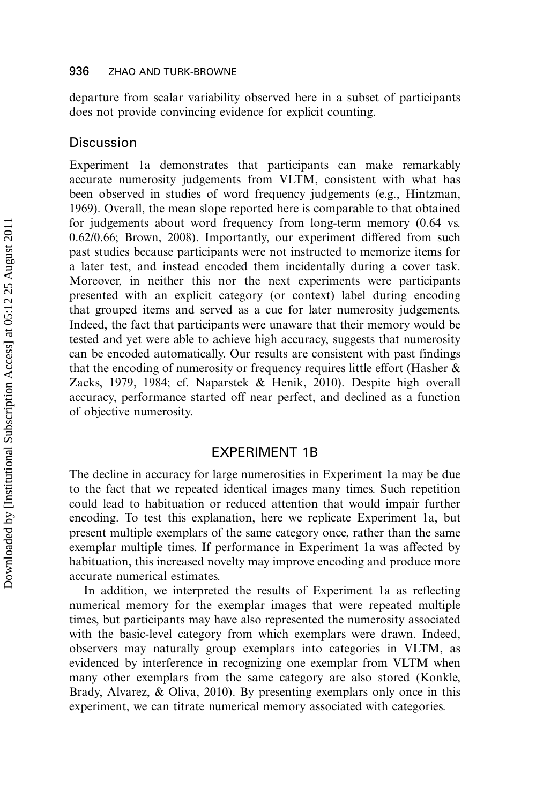#### 936 **ZHAO AND TURK-BROWNE**

departure from scalar variability observed here in a subset of participants does not provide convincing evidence for explicit counting.

# **Discussion**

Experiment 1a demonstrates that participants can make remarkably accurate numerosity judgements from VLTM, consistent with what has been observed in studies of word frequency judgements (e.g., Hintzman, 1969). Overall, the mean slope reported here is comparable to that obtained for judgements about word frequency from long-term memory (0.64 vs. 0.62/0.66; Brown, 2008). Importantly, our experiment differed from such past studies because participants were not instructed to memorize items for a later test, and instead encoded them incidentally during a cover task. Moreover, in neither this nor the next experiments were participants presented with an explicit category (or context) label during encoding that grouped items and served as a cue for later numerosity judgements. Indeed, the fact that participants were unaware that their memory would be tested and yet were able to achieve high accuracy, suggests that numerosity can be encoded automatically. Our results are consistent with past findings that the encoding of numerosity or frequency requires little effort (Hasher & Zacks, 1979, 1984; cf. Naparstek & Henik, 2010). Despite high overall accuracy, performance started off near perfect, and declined as a function of objective numerosity.

# EXPERIMENT 1B

The decline in accuracy for large numerosities in Experiment 1a may be due to the fact that we repeated identical images many times. Such repetition could lead to habituation or reduced attention that would impair further encoding. To test this explanation, here we replicate Experiment 1a, but present multiple exemplars of the same category once, rather than the same exemplar multiple times. If performance in Experiment 1a was affected by habituation, this increased novelty may improve encoding and produce more accurate numerical estimates.

In addition, we interpreted the results of Experiment 1a as reflecting numerical memory for the exemplar images that were repeated multiple times, but participants may have also represented the numerosity associated with the basic-level category from which exemplars were drawn. Indeed, observers may naturally group exemplars into categories in VLTM, as evidenced by interference in recognizing one exemplar from VLTM when many other exemplars from the same category are also stored (Konkle, Brady, Alvarez, & Oliva, 2010). By presenting exemplars only once in this experiment, we can titrate numerical memory associated with categories.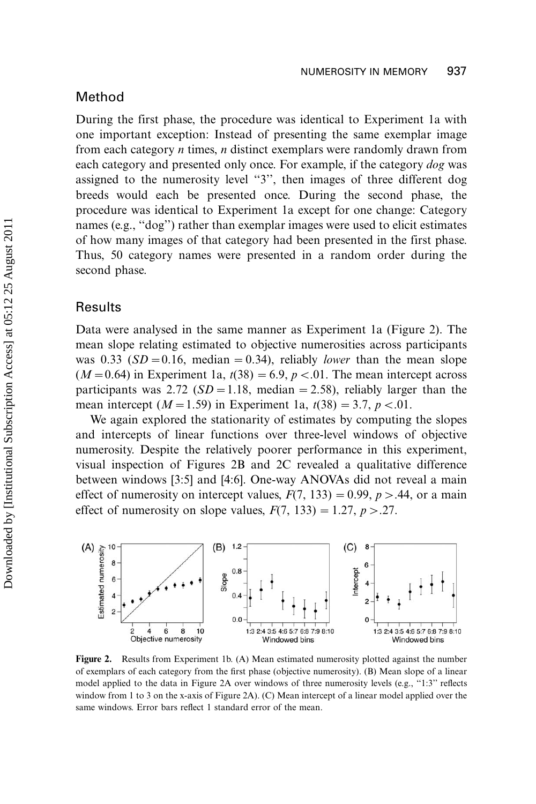# Method

During the first phase, the procedure was identical to Experiment 1a with one important exception: Instead of presenting the same exemplar image from each category  $n$  times,  $n$  distinct exemplars were randomly drawn from each category and presented only once. For example, if the category dog was assigned to the numerosity level ''3'', then images of three different dog breeds would each be presented once. During the second phase, the procedure was identical to Experiment 1a except for one change: Category names (e.g., ''dog'') rather than exemplar images were used to elicit estimates of how many images of that category had been presented in the first phase. Thus, 50 category names were presented in a random order during the second phase.

# Results

Data were analysed in the same manner as Experiment 1a (Figure 2). The mean slope relating estimated to objective numerosities across participants was 0.33 ( $SD = 0.16$ , median = 0.34), reliably *lower* than the mean slope  $(M=0.64)$  in Experiment 1a,  $t(38) = 6.9$ ,  $p < 0.01$ . The mean intercept across participants was 2.72 ( $SD = 1.18$ , median = 2.58), reliably larger than the mean intercept ( $M=1.59$ ) in Experiment 1a,  $t(38) = 3.7$ ,  $p < 0.01$ .

We again explored the stationarity of estimates by computing the slopes and intercepts of linear functions over three-level windows of objective numerosity. Despite the relatively poorer performance in this experiment, visual inspection of Figures 2B and 2C revealed a qualitative difference between windows [3:5] and [4:6]. One-way ANOVAs did not reveal a main effect of numerosity on intercept values,  $F(7, 133) = 0.99$ ,  $p > .44$ , or a main effect of numerosity on slope values,  $F(7, 133) = 1.27, p > 0.27$ .



Figure 2. Results from Experiment 1b. (A) Mean estimated numerosity plotted against the number of exemplars of each category from the first phase (objective numerosity). (B) Mean slope of a linear model applied to the data in Figure 2A over windows of three numerosity levels (e.g., "1:3" reflects window from 1 to 3 on the x-axis of Figure 2A). (C) Mean intercept of a linear model applied over the same windows. Error bars reflect 1 standard error of the mean.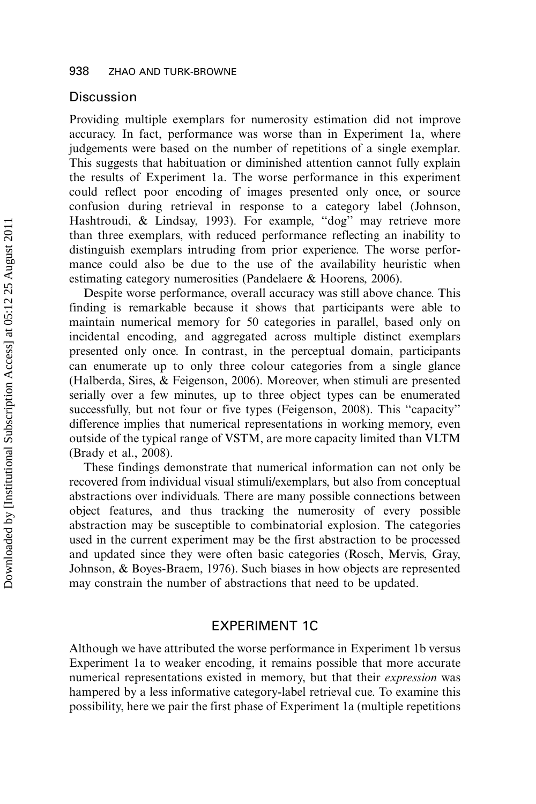## **Discussion**

Providing multiple exemplars for numerosity estimation did not improve accuracy. In fact, performance was worse than in Experiment 1a, where judgements were based on the number of repetitions of a single exemplar. This suggests that habituation or diminished attention cannot fully explain the results of Experiment 1a. The worse performance in this experiment could reflect poor encoding of images presented only once, or source confusion during retrieval in response to a category label (Johnson, Hashtroudi, & Lindsay, 1993). For example, "dog" may retrieve more than three exemplars, with reduced performance reflecting an inability to distinguish exemplars intruding from prior experience. The worse performance could also be due to the use of the availability heuristic when estimating category numerosities (Pandelaere & Hoorens, 2006).

Despite worse performance, overall accuracy was still above chance. This finding is remarkable because it shows that participants were able to maintain numerical memory for 50 categories in parallel, based only on incidental encoding, and aggregated across multiple distinct exemplars presented only once. In contrast, in the perceptual domain, participants can enumerate up to only three colour categories from a single glance (Halberda, Sires, & Feigenson, 2006). Moreover, when stimuli are presented serially over a few minutes, up to three object types can be enumerated successfully, but not four or five types (Feigenson, 2008). This ''capacity'' difference implies that numerical representations in working memory, even outside of the typical range of VSTM, are more capacity limited than VLTM (Brady et al., 2008).

These findings demonstrate that numerical information can not only be recovered from individual visual stimuli/exemplars, but also from conceptual abstractions over individuals. There are many possible connections between object features, and thus tracking the numerosity of every possible abstraction may be susceptible to combinatorial explosion. The categories used in the current experiment may be the first abstraction to be processed and updated since they were often basic categories (Rosch, Mervis, Gray, Johnson, & Boyes-Braem, 1976). Such biases in how objects are represented may constrain the number of abstractions that need to be updated.

# EXPERIMENT 1C

Although we have attributed the worse performance in Experiment 1b versus Experiment 1a to weaker encoding, it remains possible that more accurate numerical representations existed in memory, but that their expression was hampered by a less informative category-label retrieval cue. To examine this possibility, here we pair the first phase of Experiment 1a (multiple repetitions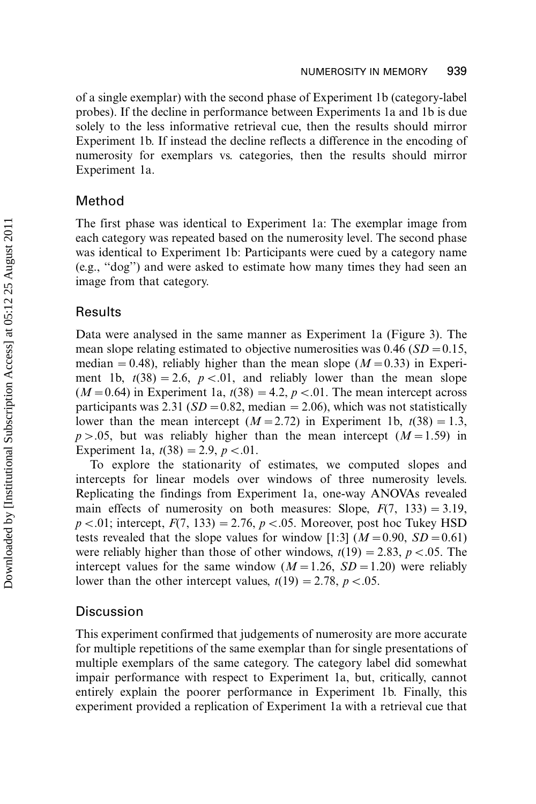of a single exemplar) with the second phase of Experiment 1b (category-label probes). If the decline in performance between Experiments 1a and 1b is due solely to the less informative retrieval cue, then the results should mirror Experiment 1b. If instead the decline reflects a difference in the encoding of numerosity for exemplars vs. categories, then the results should mirror Experiment 1a.

# Method

The first phase was identical to Experiment 1a: The exemplar image from each category was repeated based on the numerosity level. The second phase was identical to Experiment 1b: Participants were cued by a category name (e.g., ''dog'') and were asked to estimate how many times they had seen an image from that category.

# Results

Data were analysed in the same manner as Experiment 1a (Figure 3). The mean slope relating estimated to objective numerosities was 0.46 ( $SD = 0.15$ , median = 0.48), reliably higher than the mean slope ( $M=0.33$ ) in Experiment 1b,  $t(38) = 2.6$ ,  $p < 0.01$ , and reliably lower than the mean slope  $(M=0.64)$  in Experiment 1a,  $t(38) = 4.2$ ,  $p < 0.01$ . The mean intercept across participants was 2.31 ( $SD = 0.82$ , median = 2.06), which was not statistically lower than the mean intercept  $(M=2.72)$  in Experiment 1b,  $t(38) = 1.3$ ,  $p > 0.05$ , but was reliably higher than the mean intercept  $(M=1.59)$  in Experiment 1a,  $t(38) = 2.9, p < 0.01$ .

To explore the stationarity of estimates, we computed slopes and intercepts for linear models over windows of three numerosity levels. Replicating the findings from Experiment 1a, one-way ANOVAs revealed main effects of numerosity on both measures: Slope,  $F(7, 133) = 3.19$ ,  $p < 0.01$ ; intercept,  $F(7, 133) = 2.76$ ,  $p < 0.05$ . Moreover, post hoc Tukey HSD tests revealed that the slope values for window [1:3] ( $M=0.90$ ,  $SD=0.61$ ) were reliably higher than those of other windows,  $t(19) = 2.83$ ,  $p < 0.05$ . The intercept values for the same window  $(M=1.26, SD=1.20)$  were reliably lower than the other intercept values,  $t(19) = 2.78$ ,  $p < 0.05$ .

# **Discussion**

This experiment confirmed that judgements of numerosity are more accurate for multiple repetitions of the same exemplar than for single presentations of multiple exemplars of the same category. The category label did somewhat impair performance with respect to Experiment 1a, but, critically, cannot entirely explain the poorer performance in Experiment 1b. Finally, this experiment provided a replication of Experiment 1a with a retrieval cue that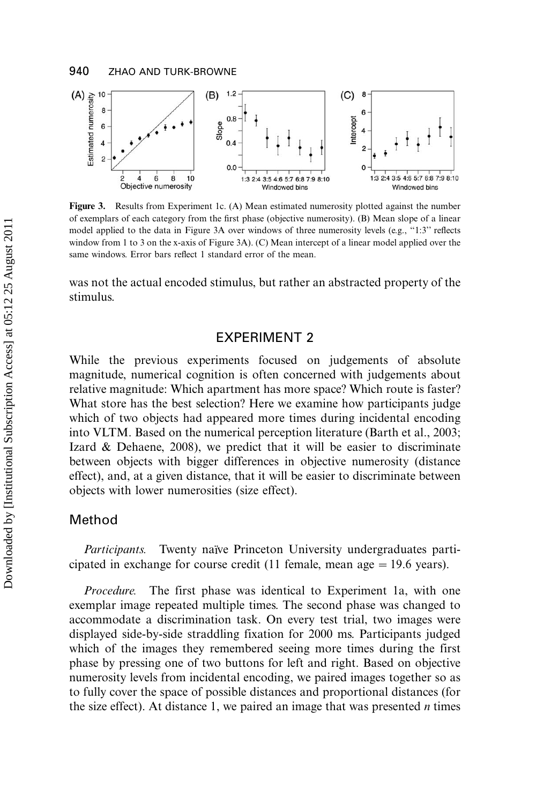

Figure 3. Results from Experiment 1c. (A) Mean estimated numerosity plotted against the number of exemplars of each category from the first phase (objective numerosity). (B) Mean slope of a linear model applied to the data in Figure 3A over windows of three numerosity levels (e.g., "1:3" reflects window from 1 to 3 on the x-axis of Figure 3A). (C) Mean intercept of a linear model applied over the same windows. Error bars reflect 1 standard error of the mean.

was not the actual encoded stimulus, but rather an abstracted property of the stimulus.

# EXPERIMENT 2

While the previous experiments focused on judgements of absolute magnitude, numerical cognition is often concerned with judgements about relative magnitude: Which apartment has more space? Which route is faster? What store has the best selection? Here we examine how participants judge which of two objects had appeared more times during incidental encoding into VLTM. Based on the numerical perception literature (Barth et al., 2003; Izard & Dehaene, 2008), we predict that it will be easier to discriminate between objects with bigger differences in objective numerosity (distance effect), and, at a given distance, that it will be easier to discriminate between objects with lower numerosities (size effect).

# Method

Participants. Twenty naïve Princeton University undergraduates participated in exchange for course credit (11 female, mean age  $= 19.6$  years).

Procedure. The first phase was identical to Experiment 1a, with one exemplar image repeated multiple times. The second phase was changed to accommodate a discrimination task. On every test trial, two images were displayed side-by-side straddling fixation for 2000 ms. Participants judged which of the images they remembered seeing more times during the first phase by pressing one of two buttons for left and right. Based on objective numerosity levels from incidental encoding, we paired images together so as to fully cover the space of possible distances and proportional distances (for the size effect). At distance 1, we paired an image that was presented  $n$  times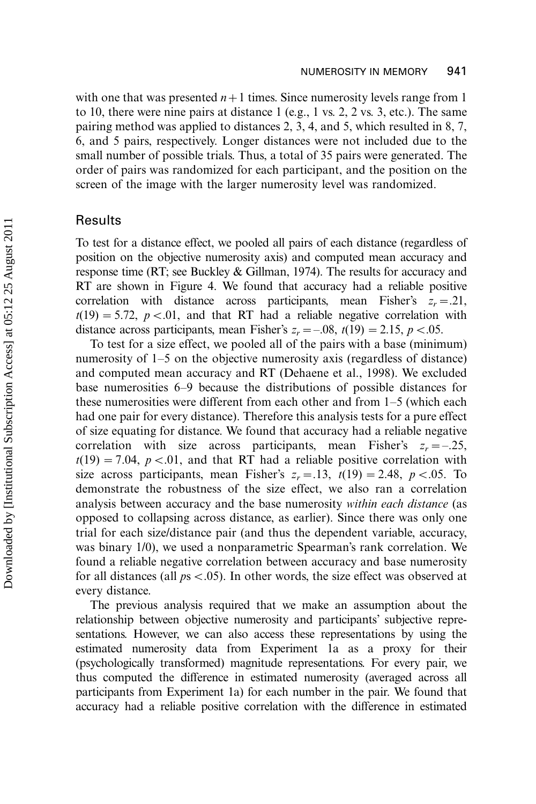with one that was presented  $n+1$  times. Since numerosity levels range from 1 to 10, there were nine pairs at distance 1 (e.g., 1 vs. 2, 2 vs. 3, etc.). The same pairing method was applied to distances 2, 3, 4, and 5, which resulted in 8, 7, 6, and 5 pairs, respectively. Longer distances were not included due to the small number of possible trials. Thus, a total of 35 pairs were generated. The order of pairs was randomized for each participant, and the position on the screen of the image with the larger numerosity level was randomized.

# Results

To test for a distance effect, we pooled all pairs of each distance (regardless of position on the objective numerosity axis) and computed mean accuracy and response time (RT; see Buckley & Gillman, 1974). The results for accuracy and RT are shown in Figure 4. We found that accuracy had a reliable positive correlation with distance across participants, mean Fisher's  $z_r = .21$ ,  $t(19) = 5.72$ ,  $p < 0.01$ , and that RT had a reliable negative correlation with distance across participants, mean Fisher's  $z_r = -0.08$ ,  $t(19) = 2.15$ ,  $p < 0.05$ .

To test for a size effect, we pooled all of the pairs with a base (minimum) numerosity of  $1-5$  on the objective numerosity axis (regardless of distance) and computed mean accuracy and RT (Dehaene et al., 1998). We excluded base numerosities  $6-9$  because the distributions of possible distances for these numerosities were different from each other and from  $1-5$  (which each had one pair for every distance). Therefore this analysis tests for a pure effect of size equating for distance. We found that accuracy had a reliable negative correlation with size across participants, mean Fisher's  $z_r = -0.25$ ,  $t(19) = 7.04$ ,  $p < 0.01$ , and that RT had a reliable positive correlation with size across participants, mean Fisher's  $z_r = .13$ ,  $t(19) = 2.48$ ,  $p < .05$ . To demonstrate the robustness of the size effect, we also ran a correlation analysis between accuracy and the base numerosity within each distance (as opposed to collapsing across distance, as earlier). Since there was only one trial for each size/distance pair (and thus the dependent variable, accuracy, was binary 1/0), we used a nonparametric Spearman's rank correlation. We found a reliable negative correlation between accuracy and base numerosity for all distances (all  $ps < .05$ ). In other words, the size effect was observed at every distance.

The previous analysis required that we make an assumption about the relationship between objective numerosity and participants' subjective representations. However, we can also access these representations by using the estimated numerosity data from Experiment 1a as a proxy for their (psychologically transformed) magnitude representations. For every pair, we thus computed the difference in estimated numerosity (averaged across all participants from Experiment 1a) for each number in the pair. We found that accuracy had a reliable positive correlation with the difference in estimated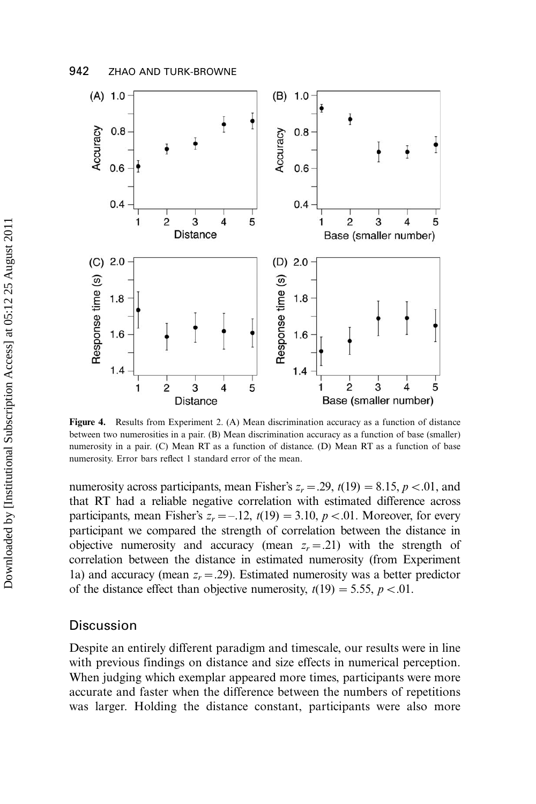

Figure 4. Results from Experiment 2. (A) Mean discrimination accuracy as a function of distance between two numerosities in a pair. (B) Mean discrimination accuracy as a function of base (smaller) numerosity in a pair. (C) Mean RT as a function of distance. (D) Mean RT as a function of base numerosity. Error bars reflect 1 standard error of the mean.

numerosity across participants, mean Fisher's  $z_r = .29$ ,  $t(19) = 8.15$ ,  $p < .01$ , and that RT had a reliable negative correlation with estimated difference across participants, mean Fisher's  $z_r = -12$ ,  $t(19) = 3.10$ ,  $p < 0.01$ . Moreover, for every participant we compared the strength of correlation between the distance in objective numerosity and accuracy (mean  $z_r = .21$ ) with the strength of correlation between the distance in estimated numerosity (from Experiment 1a) and accuracy (mean  $z_r = .29$ ). Estimated numerosity was a better predictor of the distance effect than objective numerosity,  $t(19) = 5.55$ ,  $p < 0.01$ .

# **Discussion**

Despite an entirely different paradigm and timescale, our results were in line with previous findings on distance and size effects in numerical perception. When judging which exemplar appeared more times, participants were more accurate and faster when the difference between the numbers of repetitions was larger. Holding the distance constant, participants were also more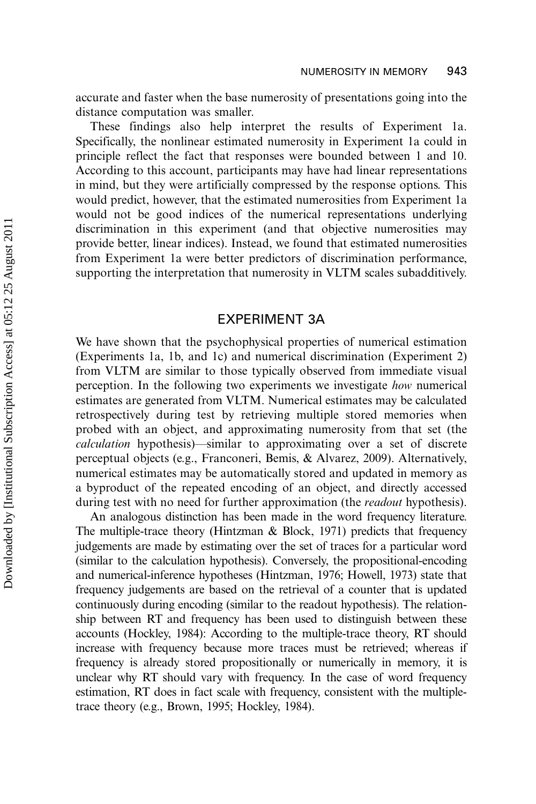accurate and faster when the base numerosity of presentations going into the distance computation was smaller.

These findings also help interpret the results of Experiment 1a. Specifically, the nonlinear estimated numerosity in Experiment 1a could in principle reflect the fact that responses were bounded between 1 and 10. According to this account, participants may have had linear representations in mind, but they were artificially compressed by the response options. This would predict, however, that the estimated numerosities from Experiment 1a would not be good indices of the numerical representations underlying discrimination in this experiment (and that objective numerosities may provide better, linear indices). Instead, we found that estimated numerosities from Experiment 1a were better predictors of discrimination performance, supporting the interpretation that numerosity in VLTM scales subadditively.

# EXPERIMENT 3A

We have shown that the psychophysical properties of numerical estimation (Experiments 1a, 1b, and 1c) and numerical discrimination (Experiment 2) from VLTM are similar to those typically observed from immediate visual perception. In the following two experiments we investigate how numerical estimates are generated from VLTM. Numerical estimates may be calculated retrospectively during test by retrieving multiple stored memories when probed with an object, and approximating numerosity from that set (the calculation hypothesis)—similar to approximating over a set of discrete perceptual objects (e.g., Franconeri, Bemis, & Alvarez, 2009). Alternatively, numerical estimates may be automatically stored and updated in memory as a byproduct of the repeated encoding of an object, and directly accessed during test with no need for further approximation (the *readout* hypothesis).

An analogous distinction has been made in the word frequency literature. The multiple-trace theory (Hintzman & Block, 1971) predicts that frequency judgements are made by estimating over the set of traces for a particular word (similar to the calculation hypothesis). Conversely, the propositional-encoding and numerical-inference hypotheses (Hintzman, 1976; Howell, 1973) state that frequency judgements are based on the retrieval of a counter that is updated continuously during encoding (similar to the readout hypothesis). The relationship between RT and frequency has been used to distinguish between these accounts (Hockley, 1984): According to the multiple-trace theory, RT should increase with frequency because more traces must be retrieved; whereas if frequency is already stored propositionally or numerically in memory, it is unclear why RT should vary with frequency. In the case of word frequency estimation, RT does in fact scale with frequency, consistent with the multipletrace theory (e.g., Brown, 1995; Hockley, 1984).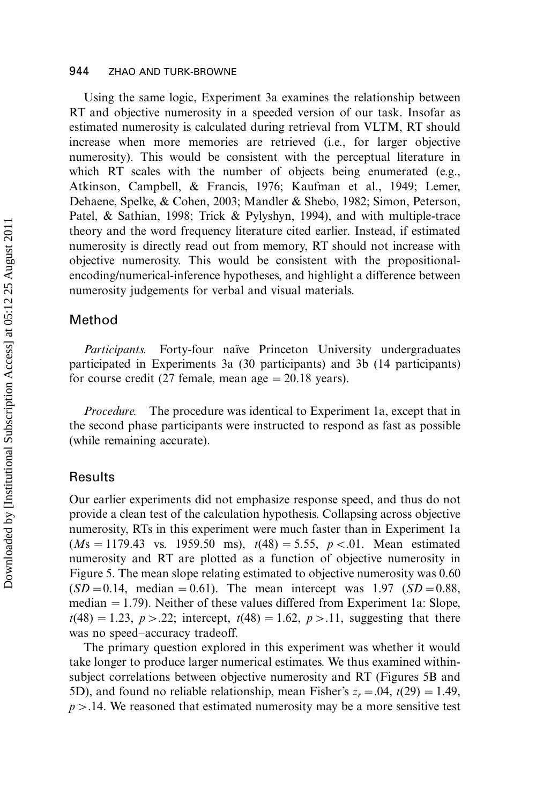#### 944 ZHAO AND TURK-BROWNE

Using the same logic, Experiment 3a examines the relationship between RT and objective numerosity in a speeded version of our task. Insofar as estimated numerosity is calculated during retrieval from VLTM, RT should increase when more memories are retrieved (i.e., for larger objective numerosity). This would be consistent with the perceptual literature in which RT scales with the number of objects being enumerated (e.g., Atkinson, Campbell, & Francis, 1976; Kaufman et al., 1949; Lemer, Dehaene, Spelke, & Cohen, 2003; Mandler & Shebo, 1982; Simon, Peterson, Patel, & Sathian, 1998; Trick & Pylyshyn, 1994), and with multiple-trace theory and the word frequency literature cited earlier. Instead, if estimated numerosity is directly read out from memory, RT should not increase with objective numerosity. This would be consistent with the propositionalencoding/numerical-inference hypotheses, and highlight a difference between numerosity judgements for verbal and visual materials.

# Method

Participants. Forty-four naïve Princeton University undergraduates participated in Experiments 3a (30 participants) and 3b (14 participants) for course credit (27 female, mean age  $= 20.18$  years).

Procedure. The procedure was identical to Experiment 1a, except that in the second phase participants were instructed to respond as fast as possible (while remaining accurate).

#### Results

Our earlier experiments did not emphasize response speed, and thus do not provide a clean test of the calculation hypothesis. Collapsing across objective numerosity, RTs in this experiment were much faster than in Experiment 1a  $(Ms = 1179.43 \text{ vs. } 1959.50 \text{ ms})$ ,  $t(48) = 5.55$ ,  $p < .01$ . Mean estimated numerosity and RT are plotted as a function of objective numerosity in Figure 5. The mean slope relating estimated to objective numerosity was 0.60  $(SD=0.14, \text{ median} = 0.61)$ . The mean intercept was 1.97  $(SD=0.88, \text{ rad} = 0.61)$ . median  $= 1.79$ ). Neither of these values differed from Experiment 1a: Slope,  $t(48) = 1.23, p > 0.22$ ; intercept,  $t(48) = 1.62, p > 0.11$ , suggesting that there was no speed-accuracy tradeoff.

The primary question explored in this experiment was whether it would take longer to produce larger numerical estimates. We thus examined withinsubject correlations between objective numerosity and RT (Figures 5B and 5D), and found no reliable relationship, mean Fisher's  $z_r = .04$ ,  $t(29) = 1.49$ ,  $p > 14$ . We reasoned that estimated numerosity may be a more sensitive test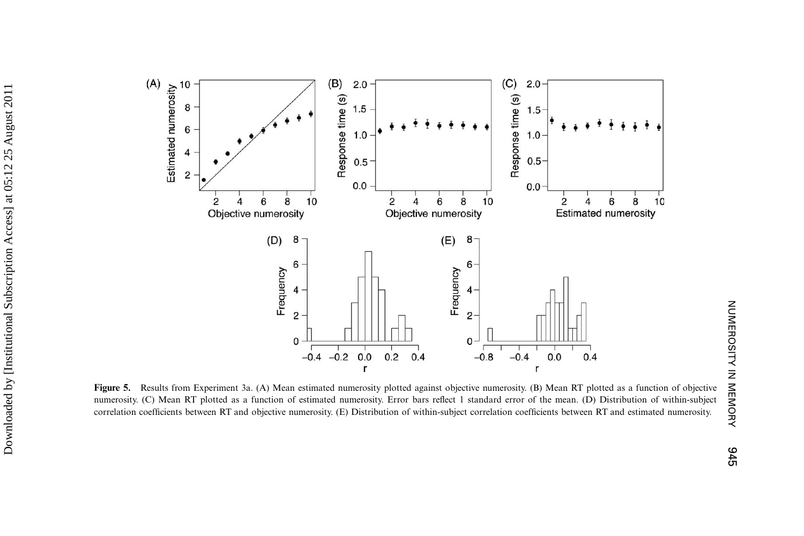

Figure 5. Results from Experiment 3a. (A) Mean estimated numerosity plotted against objective numerosity. (B) Mean RT plotted as a function of objective numerosity. (C) Mean RT plotted as <sup>a</sup> function of estimated numerosity. Error bars reflect 1 standard error of the mean. (D) Distribution of within-subject correlation coefficients between RT and objective numerosity. (E) Distribution of within-subject correlation coefficients between RT and estimated numerosity.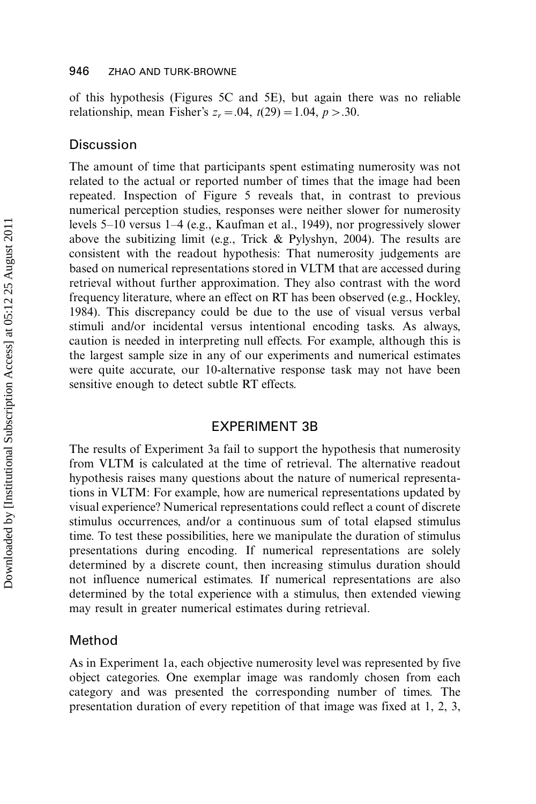of this hypothesis (Figures 5C and 5E), but again there was no reliable relationship, mean Fisher's  $z_r = .04$ ,  $t(29) = 1.04$ ,  $p > .30$ .

# **Discussion**

The amount of time that participants spent estimating numerosity was not related to the actual or reported number of times that the image had been repeated. Inspection of Figure 5 reveals that, in contrast to previous numerical perception studies, responses were neither slower for numerosity levels 5–10 versus 1–4 (e.g., Kaufman et al., 1949), nor progressively slower above the subitizing limit (e.g., Trick & Pylyshyn, 2004). The results are consistent with the readout hypothesis: That numerosity judgements are based on numerical representations stored in VLTM that are accessed during retrieval without further approximation. They also contrast with the word frequency literature, where an effect on RT has been observed (e.g., Hockley, 1984). This discrepancy could be due to the use of visual versus verbal stimuli and/or incidental versus intentional encoding tasks. As always, caution is needed in interpreting null effects. For example, although this is the largest sample size in any of our experiments and numerical estimates were quite accurate, our 10-alternative response task may not have been sensitive enough to detect subtle RT effects.

# EXPERIMENT 3B

The results of Experiment 3a fail to support the hypothesis that numerosity from VLTM is calculated at the time of retrieval. The alternative readout hypothesis raises many questions about the nature of numerical representations in VLTM: For example, how are numerical representations updated by visual experience? Numerical representations could reflect a count of discrete stimulus occurrences, and/or a continuous sum of total elapsed stimulus time. To test these possibilities, here we manipulate the duration of stimulus presentations during encoding. If numerical representations are solely determined by a discrete count, then increasing stimulus duration should not influence numerical estimates. If numerical representations are also determined by the total experience with a stimulus, then extended viewing may result in greater numerical estimates during retrieval.

# Method

As in Experiment 1a, each objective numerosity level was represented by five object categories. One exemplar image was randomly chosen from each category and was presented the corresponding number of times. The presentation duration of every repetition of that image was fixed at 1, 2, 3,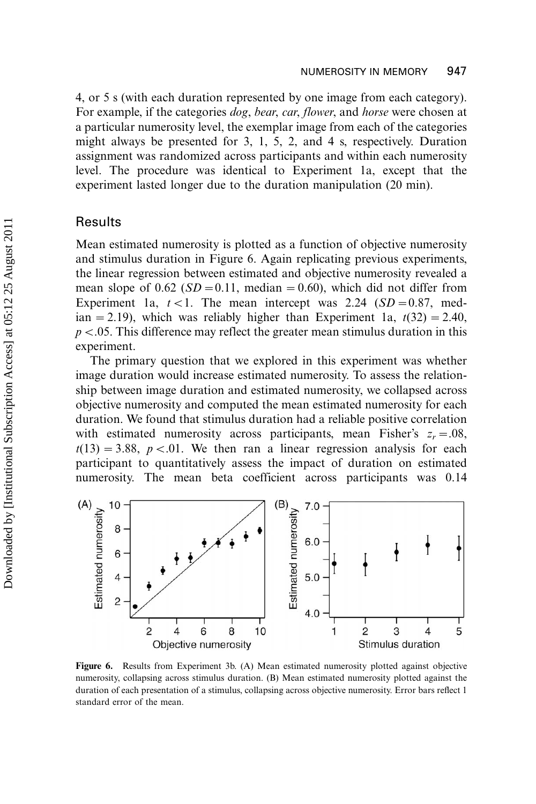4, or 5 s (with each duration represented by one image from each category). For example, if the categories *dog, bear, car, flower*, and *horse* were chosen at a particular numerosity level, the exemplar image from each of the categories might always be presented for 3, 1, 5, 2, and 4 s, respectively. Duration assignment was randomized across participants and within each numerosity level. The procedure was identical to Experiment 1a, except that the experiment lasted longer due to the duration manipulation (20 min).

# Results

Mean estimated numerosity is plotted as a function of objective numerosity and stimulus duration in Figure 6. Again replicating previous experiments, the linear regression between estimated and objective numerosity revealed a mean slope of 0.62 ( $SD = 0.11$ , median = 0.60), which did not differ from Experiment 1a,  $t < 1$ . The mean intercept was 2.24 (SD = 0.87, median = 2.19), which was reliably higher than Experiment 1a,  $t(32) = 2.40$ ,  $p < 0.05$ . This difference may reflect the greater mean stimulus duration in this experiment.

The primary question that we explored in this experiment was whether image duration would increase estimated numerosity. To assess the relationship between image duration and estimated numerosity, we collapsed across objective numerosity and computed the mean estimated numerosity for each duration. We found that stimulus duration had a reliable positive correlation with estimated numerosity across participants, mean Fisher's  $z_r = .08$ ,  $t(13) = 3.88$ ,  $p < 0.01$ . We then ran a linear regression analysis for each participant to quantitatively assess the impact of duration on estimated numerosity. The mean beta coefficient across participants was 0.14



Figure 6. Results from Experiment 3b. (A) Mean estimated numerosity plotted against objective numerosity, collapsing across stimulus duration. (B) Mean estimated numerosity plotted against the duration of each presentation of a stimulus, collapsing across objective numerosity. Error bars reflect 1 standard error of the mean.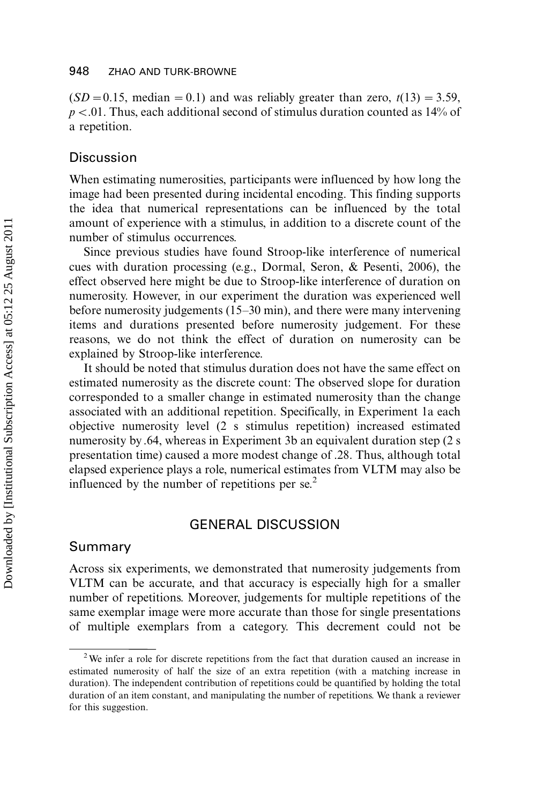#### 948 ZHAO AND TURK-BROWNE

 $(SD = 0.15, \text{ median} = 0.1)$  and was reliably greater than zero,  $t(13) = 3.59$ ,  $p < 0.01$ . Thus, each additional second of stimulus duration counted as 14% of a repetition.

# **Discussion**

When estimating numerosities, participants were influenced by how long the image had been presented during incidental encoding. This finding supports the idea that numerical representations can be influenced by the total amount of experience with a stimulus, in addition to a discrete count of the number of stimulus occurrences.

Since previous studies have found Stroop-like interference of numerical cues with duration processing (e.g., Dormal, Seron, & Pesenti, 2006), the effect observed here might be due to Stroop-like interference of duration on numerosity. However, in our experiment the duration was experienced well before numerosity judgements (15–30 min), and there were many intervening items and durations presented before numerosity judgement. For these reasons, we do not think the effect of duration on numerosity can be explained by Stroop-like interference.

It should be noted that stimulus duration does not have the same effect on estimated numerosity as the discrete count: The observed slope for duration corresponded to a smaller change in estimated numerosity than the change associated with an additional repetition. Specifically, in Experiment 1a each objective numerosity level (2 s stimulus repetition) increased estimated numerosity by .64, whereas in Experiment 3b an equivalent duration step (2 s presentation time) caused a more modest change of .28. Thus, although total elapsed experience plays a role, numerical estimates from VLTM may also be influenced by the number of repetitions per se.<sup>2</sup>

# GENERAL DISCUSSION

#### Summary

Across six experiments, we demonstrated that numerosity judgements from VLTM can be accurate, and that accuracy is especially high for a smaller number of repetitions. Moreover, judgements for multiple repetitions of the same exemplar image were more accurate than those for single presentations of multiple exemplars from a category. This decrement could not be

<sup>&</sup>lt;sup>2</sup>We infer a role for discrete repetitions from the fact that duration caused an increase in estimated numerosity of half the size of an extra repetition (with a matching increase in duration). The independent contribution of repetitions could be quantified by holding the total duration of an item constant, and manipulating the number of repetitions. We thank a reviewer for this suggestion.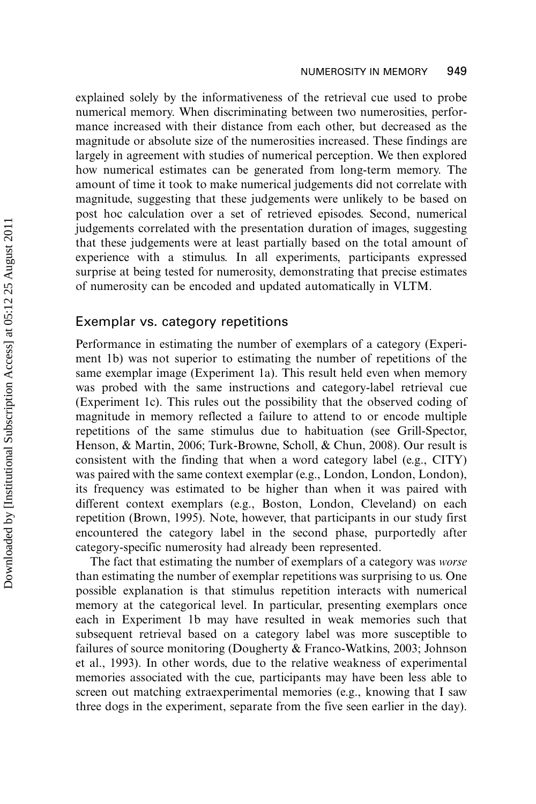explained solely by the informativeness of the retrieval cue used to probe numerical memory. When discriminating between two numerosities, performance increased with their distance from each other, but decreased as the magnitude or absolute size of the numerosities increased. These findings are largely in agreement with studies of numerical perception. We then explored how numerical estimates can be generated from long-term memory. The amount of time it took to make numerical judgements did not correlate with magnitude, suggesting that these judgements were unlikely to be based on post hoc calculation over a set of retrieved episodes. Second, numerical judgements correlated with the presentation duration of images, suggesting that these judgements were at least partially based on the total amount of experience with a stimulus. In all experiments, participants expressed surprise at being tested for numerosity, demonstrating that precise estimates of numerosity can be encoded and updated automatically in VLTM.

#### Exemplar vs. category repetitions

Performance in estimating the number of exemplars of a category (Experiment 1b) was not superior to estimating the number of repetitions of the same exemplar image (Experiment 1a). This result held even when memory was probed with the same instructions and category-label retrieval cue (Experiment 1c). This rules out the possibility that the observed coding of magnitude in memory reflected a failure to attend to or encode multiple repetitions of the same stimulus due to habituation (see Grill-Spector, Henson, & Martin, 2006; Turk-Browne, Scholl, & Chun, 2008). Our result is consistent with the finding that when a word category label (e.g., CITY) was paired with the same context exemplar (e.g., London, London, London), its frequency was estimated to be higher than when it was paired with different context exemplars (e.g., Boston, London, Cleveland) on each repetition (Brown, 1995). Note, however, that participants in our study first encountered the category label in the second phase, purportedly after category-specific numerosity had already been represented.

The fact that estimating the number of exemplars of a category was worse than estimating the number of exemplar repetitions was surprising to us. One possible explanation is that stimulus repetition interacts with numerical memory at the categorical level. In particular, presenting exemplars once each in Experiment 1b may have resulted in weak memories such that subsequent retrieval based on a category label was more susceptible to failures of source monitoring (Dougherty & Franco-Watkins, 2003; Johnson et al., 1993). In other words, due to the relative weakness of experimental memories associated with the cue, participants may have been less able to screen out matching extraexperimental memories (e.g., knowing that I saw three dogs in the experiment, separate from the five seen earlier in the day).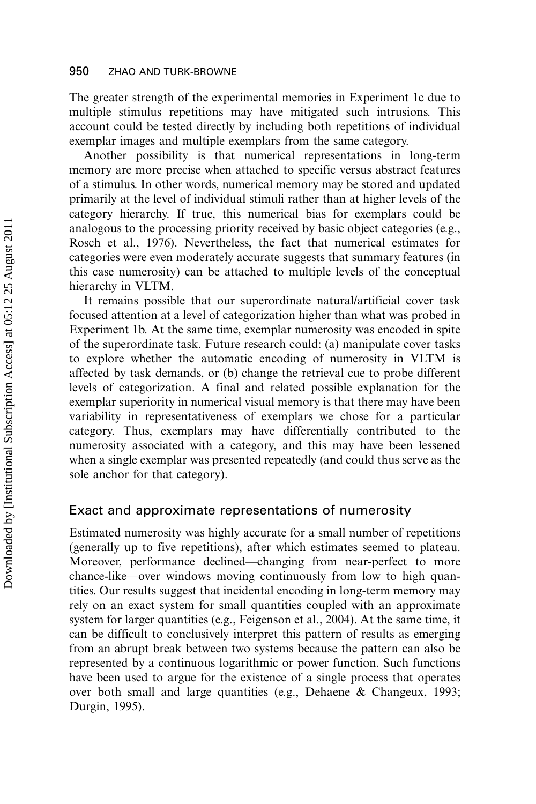#### 950 ZHAO AND TURK-BROWNE

The greater strength of the experimental memories in Experiment 1c due to multiple stimulus repetitions may have mitigated such intrusions. This account could be tested directly by including both repetitions of individual exemplar images and multiple exemplars from the same category.

Another possibility is that numerical representations in long-term memory are more precise when attached to specific versus abstract features of a stimulus. In other words, numerical memory may be stored and updated primarily at the level of individual stimuli rather than at higher levels of the category hierarchy. If true, this numerical bias for exemplars could be analogous to the processing priority received by basic object categories (e.g., Rosch et al., 1976). Nevertheless, the fact that numerical estimates for categories were even moderately accurate suggests that summary features (in this case numerosity) can be attached to multiple levels of the conceptual hierarchy in VLTM.

It remains possible that our superordinate natural/artificial cover task focused attention at a level of categorization higher than what was probed in Experiment 1b. At the same time, exemplar numerosity was encoded in spite of the superordinate task. Future research could: (a) manipulate cover tasks to explore whether the automatic encoding of numerosity in VLTM is affected by task demands, or (b) change the retrieval cue to probe different levels of categorization. A final and related possible explanation for the exemplar superiority in numerical visual memory is that there may have been variability in representativeness of exemplars we chose for a particular category. Thus, exemplars may have differentially contributed to the numerosity associated with a category, and this may have been lessened when a single exemplar was presented repeatedly (and could thus serve as the sole anchor for that category).

# Exact and approximate representations of numerosity

Estimated numerosity was highly accurate for a small number of repetitions (generally up to five repetitions), after which estimates seemed to plateau. Moreover, performance declined—changing from near-perfect to more chance-like—over windows moving continuously from low to high quantities. Our results suggest that incidental encoding in long-term memory may rely on an exact system for small quantities coupled with an approximate system for larger quantities (e.g., Feigenson et al., 2004). At the same time, it can be difficult to conclusively interpret this pattern of results as emerging from an abrupt break between two systems because the pattern can also be represented by a continuous logarithmic or power function. Such functions have been used to argue for the existence of a single process that operates over both small and large quantities (e.g., Dehaene & Changeux, 1993; Durgin, 1995).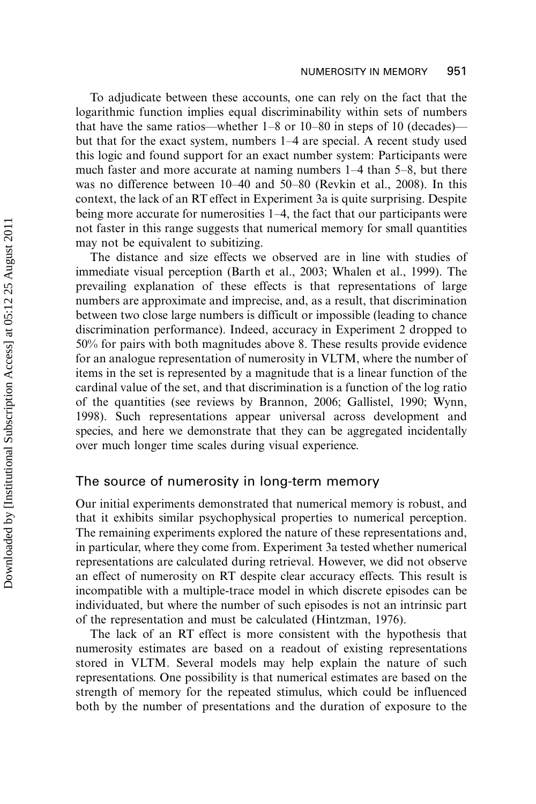To adjudicate between these accounts, one can rely on the fact that the logarithmic function implies equal discriminability within sets of numbers that have the same ratios—whether  $1-8$  or  $10-80$  in steps of 10 (decades) but that for the exact system, numbers  $1-4$  are special. A recent study used this logic and found support for an exact number system: Participants were much faster and more accurate at naming numbers  $1-4$  than  $5-8$ , but there was no difference between  $10-40$  and  $50-80$  (Revkin et al., 2008). In this context, the lack of an RT effect in Experiment 3a is quite surprising. Despite being more accurate for numerosities  $1-4$ , the fact that our participants were not faster in this range suggests that numerical memory for small quantities may not be equivalent to subitizing.

The distance and size effects we observed are in line with studies of immediate visual perception (Barth et al., 2003; Whalen et al., 1999). The prevailing explanation of these effects is that representations of large numbers are approximate and imprecise, and, as a result, that discrimination between two close large numbers is difficult or impossible (leading to chance discrimination performance). Indeed, accuracy in Experiment 2 dropped to 50% for pairs with both magnitudes above 8. These results provide evidence for an analogue representation of numerosity in VLTM, where the number of items in the set is represented by a magnitude that is a linear function of the cardinal value of the set, and that discrimination is a function of the log ratio of the quantities (see reviews by Brannon, 2006; Gallistel, 1990; Wynn, 1998). Such representations appear universal across development and species, and here we demonstrate that they can be aggregated incidentally over much longer time scales during visual experience.

# The source of numerosity in long-term memory

Our initial experiments demonstrated that numerical memory is robust, and that it exhibits similar psychophysical properties to numerical perception. The remaining experiments explored the nature of these representations and, in particular, where they come from. Experiment 3a tested whether numerical representations are calculated during retrieval. However, we did not observe an effect of numerosity on RT despite clear accuracy effects. This result is incompatible with a multiple-trace model in which discrete episodes can be individuated, but where the number of such episodes is not an intrinsic part of the representation and must be calculated (Hintzman, 1976).

The lack of an RT effect is more consistent with the hypothesis that numerosity estimates are based on a readout of existing representations stored in VLTM. Several models may help explain the nature of such representations. One possibility is that numerical estimates are based on the strength of memory for the repeated stimulus, which could be influenced both by the number of presentations and the duration of exposure to the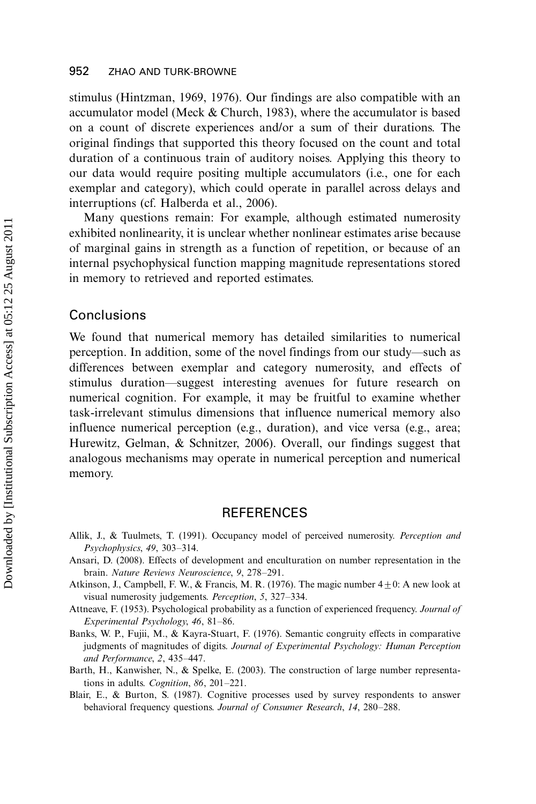stimulus (Hintzman, 1969, 1976). Our findings are also compatible with an accumulator model (Meck & Church, 1983), where the accumulator is based on a count of discrete experiences and/or a sum of their durations. The original findings that supported this theory focused on the count and total duration of a continuous train of auditory noises. Applying this theory to our data would require positing multiple accumulators (i.e., one for each exemplar and category), which could operate in parallel across delays and interruptions (cf. Halberda et al., 2006).

Many questions remain: For example, although estimated numerosity exhibited nonlinearity, it is unclear whether nonlinear estimates arise because of marginal gains in strength as a function of repetition, or because of an internal psychophysical function mapping magnitude representations stored in memory to retrieved and reported estimates.

# Conclusions

We found that numerical memory has detailed similarities to numerical perception. In addition, some of the novel findings from our study—such as differences between exemplar and category numerosity, and effects of stimulus duration—suggest interesting avenues for future research on numerical cognition. For example, it may be fruitful to examine whether task-irrelevant stimulus dimensions that influence numerical memory also influence numerical perception (e.g., duration), and vice versa (e.g., area; Hurewitz, Gelman, & Schnitzer, 2006). Overall, our findings suggest that analogous mechanisms may operate in numerical perception and numerical memory.

# **REFERENCES**

- Allik, J., & Tuulmets, T. (1991). Occupancy model of perceived numerosity. Perception and  $Psychophysics, 49, 303–314.$
- Ansari, D. (2008). Effects of development and enculturation on number representation in the brain. Nature Reviews Neuroscience, 9, 278-291.
- Atkinson, J., Campbell, F. W., & Francis, M. R. (1976). The magic number  $4\pm 0$ : A new look at visual numerosity judgements. *Perception*, 5, 327-334.
- Attneave, F. (1953). Psychological probability as a function of experienced frequency. Journal of Experimental Psychology, 46, 81-86.
- Banks, W. P., Fujii, M., & Kayra-Stuart, F. (1976). Semantic congruity effects in comparative judgments of magnitudes of digits. Journal of Experimental Psychology: Human Perception and Performance, 2, 435-447.
- Barth, H., Kanwisher, N., & Spelke, E. (2003). The construction of large number representations in adults. Cognition,  $86$ ,  $201-221$ .
- Blair, E., & Burton, S. (1987). Cognitive processes used by survey respondents to answer behavioral frequency questions. Journal of Consumer Research, 14, 280-288.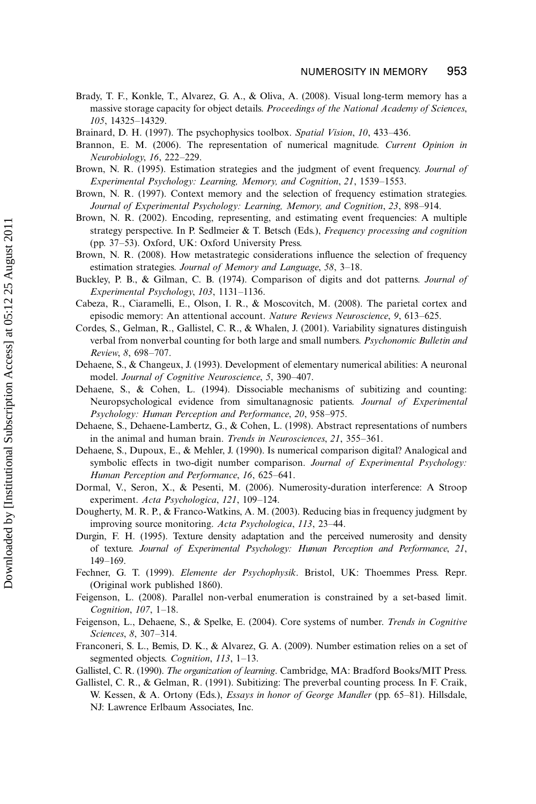- Brady, T. F., Konkle, T., Alvarez, G. A., & Oliva, A. (2008). Visual long-term memory has a massive storage capacity for object details. Proceedings of the National Academy of Sciences, 105, 14325-14329.
- Brainard, D. H. (1997). The psychophysics toolbox. Spatial Vision, 10, 433–436.
- Brannon, E. M. (2006). The representation of numerical magnitude. Current Opinion in Neurobiology, 16, 222-229.
- Brown, N. R. (1995). Estimation strategies and the judgment of event frequency. Journal of Experimental Psychology: Learning, Memory, and Cognition, 21, 1539-1553.
- Brown, N. R. (1997). Context memory and the selection of frequency estimation strategies. Journal of Experimental Psychology: Learning, Memory, and Cognition, 23, 898–914.
- Brown, N. R. (2002). Encoding, representing, and estimating event frequencies: A multiple strategy perspective. In P. Sedlmeier & T. Betsch (Eds.), Frequency processing and cognition (pp. 37-53). Oxford, UK: Oxford University Press.
- Brown, N. R. (2008). How metastrategic considerations influence the selection of frequency estimation strategies. Journal of Memory and Language, 58, 3-18.
- Buckley, P. B., & Gilman, C. B. (1974). Comparison of digits and dot patterns. Journal of Experimental Psychology,  $103$ ,  $1131-1136$ .
- Cabeza, R., Ciaramelli, E., Olson, I. R., & Moscovitch, M. (2008). The parietal cortex and episodic memory: An attentional account. Nature Reviews Neuroscience, 9, 613-625.
- Cordes, S., Gelman, R., Gallistel, C. R., & Whalen, J. (2001). Variability signatures distinguish verbal from nonverbal counting for both large and small numbers. Psychonomic Bulletin and Review, 8, 698-707.
- Dehaene, S., & Changeux, J. (1993). Development of elementary numerical abilities: A neuronal model. Journal of Cognitive Neuroscience, 5, 390-407.
- Dehaene, S., & Cohen, L. (1994). Dissociable mechanisms of subitizing and counting: Neuropsychological evidence from simultanagnosic patients. Journal of Experimental Psychology: Human Perception and Performance, 20, 958-975.
- Dehaene, S., Dehaene-Lambertz, G., & Cohen, L. (1998). Abstract representations of numbers in the animal and human brain. Trends in Neurosciences, 21, 355–361.
- Dehaene, S., Dupoux, E., & Mehler, J. (1990). Is numerical comparison digital? Analogical and symbolic effects in two-digit number comparison. Journal of Experimental Psychology: Human Perception and Performance, 16, 625-641.
- Dormal, V., Seron, X., & Pesenti, M. (2006). Numerosity-duration interference: A Stroop experiment. Acta Psychologica, 121, 109-124.
- Dougherty, M. R. P., & Franco-Watkins, A. M. (2003). Reducing bias in frequency judgment by improving source monitoring. Acta Psychologica, 113, 23–44.
- Durgin, F. H. (1995). Texture density adaptation and the perceived numerosity and density of texture. Journal of Experimental Psychology: Human Perception and Performance, 21, 149-169.
- Fechner, G. T. (1999). Elemente der Psychophysik. Bristol, UK: Thoemmes Press. Repr. (Original work published 1860).
- Feigenson, L. (2008). Parallel non-verbal enumeration is constrained by a set-based limit. Cognition,  $107$ ,  $1-18$ .
- Feigenson, L., Dehaene, S., & Spelke, E. (2004). Core systems of number. Trends in Cognitive Sciences, 8, 307-314.
- Franconeri, S. L., Bemis, D. K., & Alvarez, G. A. (2009). Number estimation relies on a set of segmented objects. Cognition, 113, 1-13.
- Gallistel, C. R. (1990). The organization of learning. Cambridge, MA: Bradford Books/MIT Press.
- Gallistel, C. R., & Gelman, R. (1991). Subitizing: The preverbal counting process. In F. Craik, W. Kessen, & A. Ortony (Eds.), *Essays in honor of George Mandler* (pp. 65–81). Hillsdale, NJ: Lawrence Erlbaum Associates, Inc.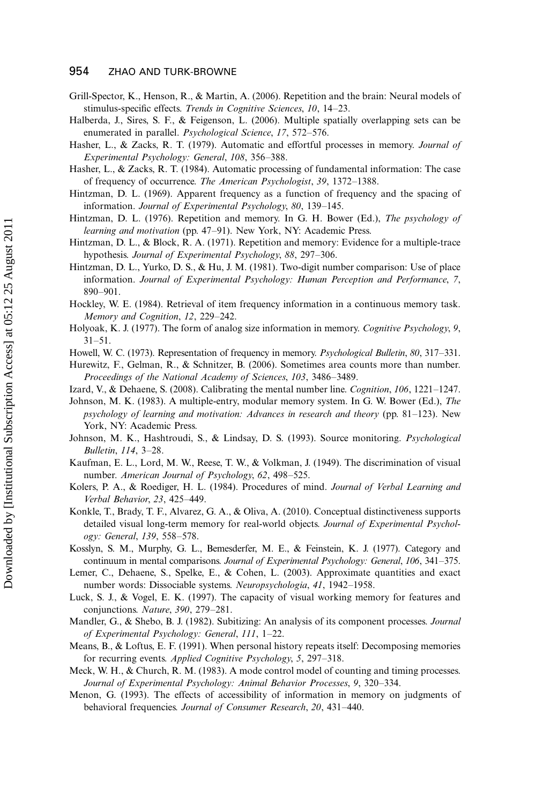#### 954 ZHAO AND TURK-BROWNE

- Grill-Spector, K., Henson, R., & Martin, A. (2006). Repetition and the brain: Neural models of stimulus-specific effects. Trends in Cognitive Sciences, 10, 14-23.
- Halberda, J., Sires, S. F., & Feigenson, L. (2006). Multiple spatially overlapping sets can be enumerated in parallel. Psychological Science, 17, 572-576.
- Hasher, L., & Zacks, R. T. (1979). Automatic and effortful processes in memory. Journal of Experimental Psychology: General, 108, 356-388.
- Hasher, L., & Zacks, R. T. (1984). Automatic processing of fundamental information: The case of frequency of occurrence. The American Psychologist, 39, 1372-1388.
- Hintzman, D. L. (1969). Apparent frequency as a function of frequency and the spacing of information. Journal of Experimental Psychology, 80, 139-145.
- Hintzman, D. L. (1976). Repetition and memory. In G. H. Bower (Ed.), The psychology of learning and motivation (pp. 47-91). New York, NY: Academic Press.
- Hintzman, D. L., & Block, R. A. (1971). Repetition and memory: Evidence for a multiple-trace hypothesis. Journal of Experimental Psychology, 88, 297-306.
- Hintzman, D. L., Yurko, D. S., & Hu, J. M. (1981). Two-digit number comparison: Use of place information. Journal of Experimental Psychology: Human Perception and Performance, 7, 890-901.
- Hockley, W. E. (1984). Retrieval of item frequency information in a continuous memory task. Memory and Cognition, 12, 229-242.
- Holyoak, K. J. (1977). The form of analog size information in memory. Cognitive Psychology, 9,  $31 - 51$ .
- Howell, W. C. (1973). Representation of frequency in memory. Psychological Bulletin, 80, 317-331.
- Hurewitz, F., Gelman, R., & Schnitzer, B. (2006). Sometimes area counts more than number. Proceedings of the National Academy of Sciences, 103, 3486-3489.
- Izard, V., & Dehaene, S. (2008). Calibrating the mental number line. Cognition,  $106$ ,  $1221-1247$ .
- Johnson, M. K. (1983). A multiple-entry, modular memory system. In G. W. Bower (Ed.), The psychology of learning and motivation: Advances in research and theory (pp. 81–123). New York, NY: Academic Press.
- Johnson, M. K., Hashtroudi, S., & Lindsay, D. S. (1993). Source monitoring. Psychological Bulletin, 114, 3-28.
- Kaufman, E. L., Lord, M. W., Reese, T. W., & Volkman, J. (1949). The discrimination of visual number. American Journal of Psychology, 62, 498-525.
- Kolers, P. A., & Roediger, H. L. (1984). Procedures of mind. Journal of Verbal Learning and Verbal Behavior, 23, 425-449.
- Konkle, T., Brady, T. F., Alvarez, G. A., & Oliva, A. (2010). Conceptual distinctiveness supports detailed visual long-term memory for real-world objects. Journal of Experimental Psychology: General, 139, 558-578.
- Kosslyn, S. M., Murphy, G. L., Bemesderfer, M. E., & Feinstein, K. J. (1977). Category and continuum in mental comparisons. Journal of Experimental Psychology: General, 106, 341-375.
- Lemer, C., Dehaene, S., Spelke, E., & Cohen, L. (2003). Approximate quantities and exact number words: Dissociable systems. Neuropsychologia, 41, 1942-1958.
- Luck, S. J., & Vogel, E. K. (1997). The capacity of visual working memory for features and conjunctions. Nature, 390, 279-281.
- Mandler, G., & Shebo, B. J. (1982). Subitizing: An analysis of its component processes. Journal of Experimental Psychology: General, 111, 1-22.
- Means, B., & Loftus, E. F. (1991). When personal history repeats itself: Decomposing memories for recurring events. Applied Cognitive Psychology, 5, 297-318.
- Meck, W. H., & Church, R. M. (1983). A mode control model of counting and timing processes. Journal of Experimental Psychology: Animal Behavior Processes, 9, 320–334.
- Menon, G. (1993). The effects of accessibility of information in memory on judgments of behavioral frequencies. Journal of Consumer Research, 20, 431-440.